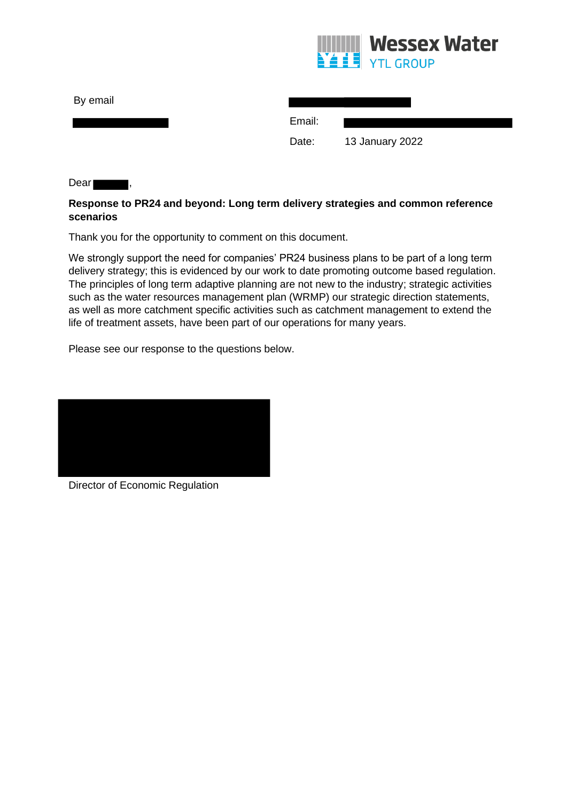

| By email   |        |                 |
|------------|--------|-----------------|
|            | Email: |                 |
|            | Date:  | 13 January 2022 |
| Dear<br>ı, |        |                 |

# **Response to PR24 and beyond: Long term delivery strategies and common reference scenarios**

Thank you for the opportunity to comment on this document.

We strongly support the need for companies' PR24 business plans to be part of a long term delivery strategy; this is evidenced by our work to date promoting outcome based regulation. The principles of long term adaptive planning are not new to the industry; strategic activities such as the water resources management plan (WRMP) our strategic direction statements, as well as more catchment specific activities such as catchment management to extend the life of treatment assets, have been part of our operations for many years.

Please see our response to the questions below.



Director of Economic Regulation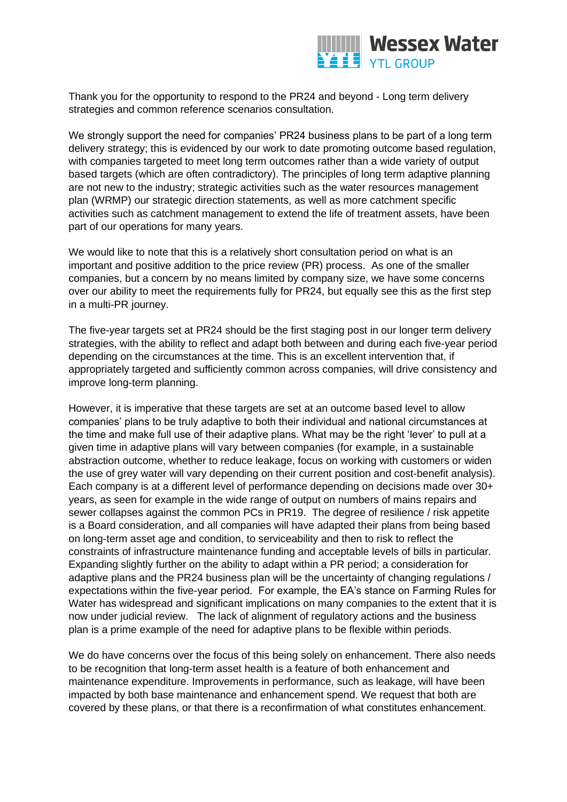

Thank you for the opportunity to respond to the PR24 and beyond - Long term delivery strategies and common reference scenarios consultation.

We strongly support the need for companies' PR24 business plans to be part of a long term delivery strategy; this is evidenced by our work to date promoting outcome based regulation, with companies targeted to meet long term outcomes rather than a wide variety of output based targets (which are often contradictory). The principles of long term adaptive planning are not new to the industry; strategic activities such as the water resources management plan (WRMP) our strategic direction statements, as well as more catchment specific activities such as catchment management to extend the life of treatment assets, have been part of our operations for many years.

We would like to note that this is a relatively short consultation period on what is an important and positive addition to the price review (PR) process. As one of the smaller companies, but a concern by no means limited by company size, we have some concerns over our ability to meet the requirements fully for PR24, but equally see this as the first step in a multi-PR journey.

The five-year targets set at PR24 should be the first staging post in our longer term delivery strategies, with the ability to reflect and adapt both between and during each five-year period depending on the circumstances at the time. This is an excellent intervention that, if appropriately targeted and sufficiently common across companies, will drive consistency and improve long-term planning.

However, it is imperative that these targets are set at an outcome based level to allow companies' plans to be truly adaptive to both their individual and national circumstances at the time and make full use of their adaptive plans. What may be the right 'lever' to pull at a given time in adaptive plans will vary between companies (for example, in a sustainable abstraction outcome, whether to reduce leakage, focus on working with customers or widen the use of grey water will vary depending on their current position and cost-benefit analysis). Each company is at a different level of performance depending on decisions made over 30+ years, as seen for example in the wide range of output on numbers of mains repairs and sewer collapses against the common PCs in PR19. The degree of resilience / risk appetite is a Board consideration, and all companies will have adapted their plans from being based on long-term asset age and condition, to serviceability and then to risk to reflect the constraints of infrastructure maintenance funding and acceptable levels of bills in particular. Expanding slightly further on the ability to adapt within a PR period; a consideration for adaptive plans and the PR24 business plan will be the uncertainty of changing regulations / expectations within the five-year period. For example, the EA's stance on Farming Rules for Water has widespread and significant implications on many companies to the extent that it is now under judicial review. The lack of alignment of regulatory actions and the business plan is a prime example of the need for adaptive plans to be flexible within periods.

We do have concerns over the focus of this being solely on enhancement. There also needs to be recognition that long-term asset health is a feature of both enhancement and maintenance expenditure. Improvements in performance, such as leakage, will have been impacted by both base maintenance and enhancement spend. We request that both are covered by these plans, or that there is a reconfirmation of what constitutes enhancement.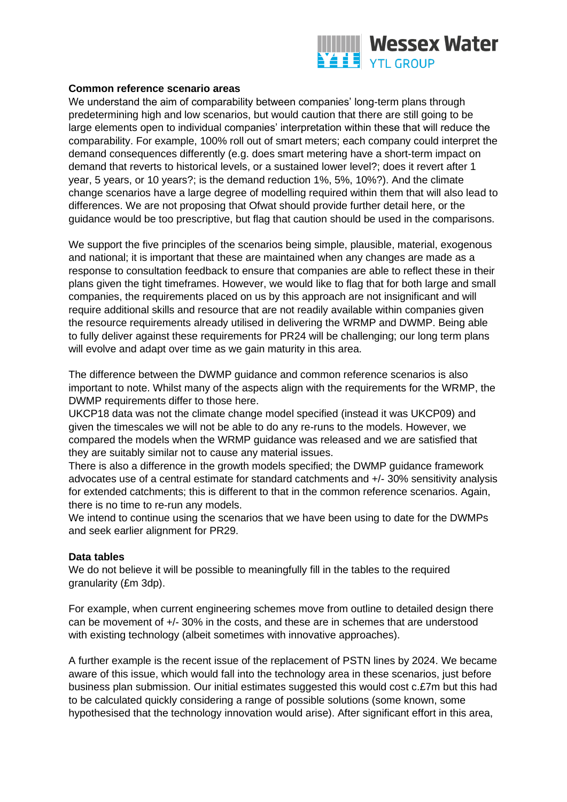

### **Common reference scenario areas**

We understand the aim of comparability between companies' long-term plans through predetermining high and low scenarios, but would caution that there are still going to be large elements open to individual companies' interpretation within these that will reduce the comparability. For example, 100% roll out of smart meters; each company could interpret the demand consequences differently (e.g. does smart metering have a short-term impact on demand that reverts to historical levels, or a sustained lower level?; does it revert after 1 year, 5 years, or 10 years?; is the demand reduction 1%, 5%, 10%?). And the climate change scenarios have a large degree of modelling required within them that will also lead to differences. We are not proposing that Ofwat should provide further detail here, or the guidance would be too prescriptive, but flag that caution should be used in the comparisons.

We support the five principles of the scenarios being simple, plausible, material, exogenous and national; it is important that these are maintained when any changes are made as a response to consultation feedback to ensure that companies are able to reflect these in their plans given the tight timeframes. However, we would like to flag that for both large and small companies, the requirements placed on us by this approach are not insignificant and will require additional skills and resource that are not readily available within companies given the resource requirements already utilised in delivering the WRMP and DWMP. Being able to fully deliver against these requirements for PR24 will be challenging; our long term plans will evolve and adapt over time as we gain maturity in this area.

The difference between the DWMP guidance and common reference scenarios is also important to note. Whilst many of the aspects align with the requirements for the WRMP, the DWMP requirements differ to those here.

UKCP18 data was not the climate change model specified (instead it was UKCP09) and given the timescales we will not be able to do any re-runs to the models. However, we compared the models when the WRMP guidance was released and we are satisfied that they are suitably similar not to cause any material issues.

There is also a difference in the growth models specified; the DWMP guidance framework advocates use of a central estimate for standard catchments and +/- 30% sensitivity analysis for extended catchments; this is different to that in the common reference scenarios. Again, there is no time to re-run any models.

We intend to continue using the scenarios that we have been using to date for the DWMPs and seek earlier alignment for PR29.

#### **Data tables**

We do not believe it will be possible to meaningfully fill in the tables to the required granularity (£m 3dp).

For example, when current engineering schemes move from outline to detailed design there can be movement of +/- 30% in the costs, and these are in schemes that are understood with existing technology (albeit sometimes with innovative approaches).

A further example is the recent issue of the replacement of PSTN lines by 2024. We became aware of this issue, which would fall into the technology area in these scenarios, just before business plan submission. Our initial estimates suggested this would cost c.£7m but this had to be calculated quickly considering a range of possible solutions (some known, some hypothesised that the technology innovation would arise). After significant effort in this area,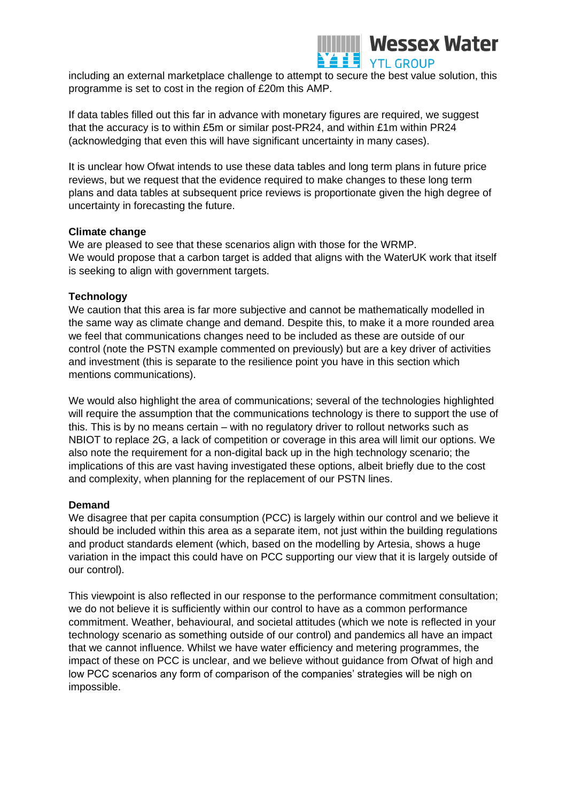

including an external marketplace challenge to attempt to secure the best value solution, this programme is set to cost in the region of £20m this AMP.

If data tables filled out this far in advance with monetary figures are required, we suggest that the accuracy is to within £5m or similar post-PR24, and within £1m within PR24 (acknowledging that even this will have significant uncertainty in many cases).

It is unclear how Ofwat intends to use these data tables and long term plans in future price reviews, but we request that the evidence required to make changes to these long term plans and data tables at subsequent price reviews is proportionate given the high degree of uncertainty in forecasting the future.

## **Climate change**

We are pleased to see that these scenarios align with those for the WRMP. We would propose that a carbon target is added that aligns with the WaterUK work that itself is seeking to align with government targets.

## **Technology**

We caution that this area is far more subjective and cannot be mathematically modelled in the same way as climate change and demand. Despite this, to make it a more rounded area we feel that communications changes need to be included as these are outside of our control (note the PSTN example commented on previously) but are a key driver of activities and investment (this is separate to the resilience point you have in this section which mentions communications).

We would also highlight the area of communications; several of the technologies highlighted will require the assumption that the communications technology is there to support the use of this. This is by no means certain – with no regulatory driver to rollout networks such as NBIOT to replace 2G, a lack of competition or coverage in this area will limit our options. We also note the requirement for a non-digital back up in the high technology scenario; the implications of this are vast having investigated these options, albeit briefly due to the cost and complexity, when planning for the replacement of our PSTN lines.

#### **Demand**

We disagree that per capita consumption (PCC) is largely within our control and we believe it should be included within this area as a separate item, not just within the building regulations and product standards element (which, based on the modelling by Artesia, shows a huge variation in the impact this could have on PCC supporting our view that it is largely outside of our control).

This viewpoint is also reflected in our response to the performance commitment consultation; we do not believe it is sufficiently within our control to have as a common performance commitment. Weather, behavioural, and societal attitudes (which we note is reflected in your technology scenario as something outside of our control) and pandemics all have an impact that we cannot influence. Whilst we have water efficiency and metering programmes, the impact of these on PCC is unclear, and we believe without guidance from Ofwat of high and low PCC scenarios any form of comparison of the companies' strategies will be nigh on impossible.